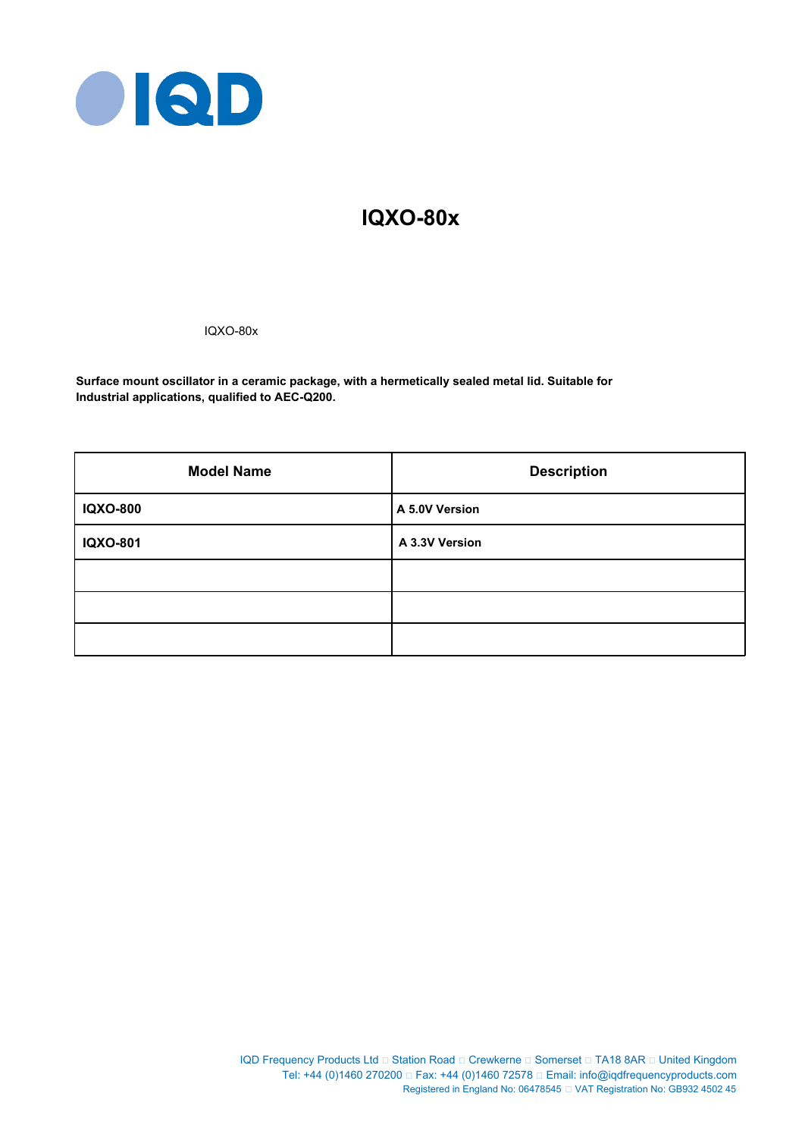

# **IQXO-80x**

IQXO-80x

**Surface mount oscillator in a ceramic package, with a hermetically sealed metal lid. Suitable for Industrial applications, qualified to AEC-Q200.**

| <b>Model Name</b> | <b>Description</b> |  |  |
|-------------------|--------------------|--|--|
| <b>IQXO-800</b>   | A 5.0V Version     |  |  |
| IQXO-801          | A 3.3V Version     |  |  |
|                   |                    |  |  |
|                   |                    |  |  |
|                   |                    |  |  |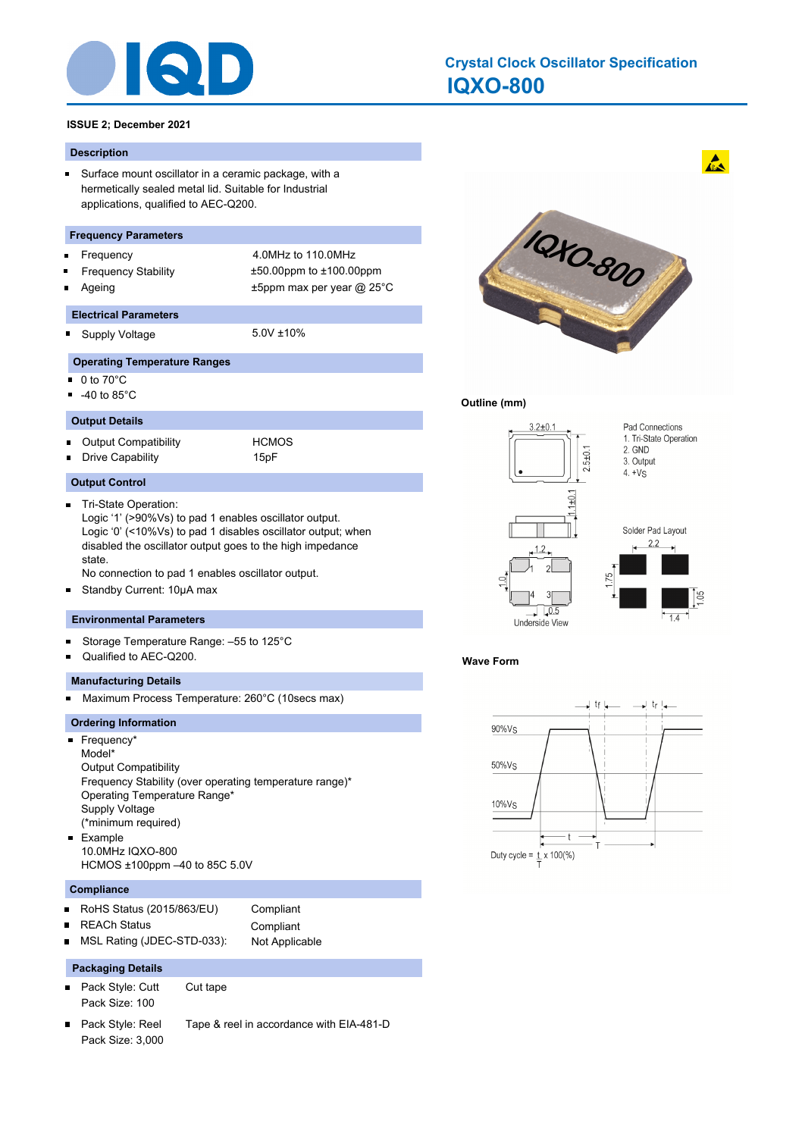

# **IQXO-800 Crystal Clock Oscillator Specification**

#### **ISSUE 2; December 2021**

#### **Description**

 $\blacksquare$ Surface mount oscillator in a ceramic package, with a hermetically sealed metal lid. Suitable for Industrial applications, qualified to AEC-Q200.

#### **Frequency Parameters**

- 
- 
- 

### Frequency 4.0MHz to 110.0MHz Frequency Stability ±50.00ppm to ±100.00ppm Ageing t5ppm max per year @ 25°C

- **Electrical Parameters**
- o. Supply Voltage 5.0V ±10%

#### **Operating Temperature Ranges**

- $\blacksquare$ 0 to 70°C
- -40 to 85°C
- **Output Details**

Output Compatibility **HCMOS**  $\blacksquare$ Drive Capability 15pF

#### **Output Control**

 $\blacksquare$ Tri-State Operation: Logic '1' (>90%Vs) to pad 1 enables oscillator output. Logic '0' (<10%Vs) to pad 1 disables oscillator output; when disabled the oscillator output goes to the high impedance state.

No connection to pad 1 enables oscillator output.

Standby Current: 10μA max  $\blacksquare$ 

#### **Environmental Parameters**

- Storage Temperature Range: –55 to 125°C Ξ
- Qualified to AEC-Q200.

#### **Manufacturing Details**

Maximum Process Temperature: 260°C (10secs max)  $\blacksquare$ 

#### **Ordering Information**

■ Frequency\* Model\* Output Compatibility Frequency Stability (over operating temperature range)\* Operating Temperature Range\* Supply Voltage (\*minimum required) Example  $\blacksquare$ 10.0MHz IQXO-800 HCMOS ±100ppm –40 to 85C 5.0V

#### **Compliance**

 $\blacksquare$ 

RoHS Status (2015/863/EU) Compliant  $\blacksquare$ 

REACh Status **Compliant** 

MSL Rating (JDEC-STD-033): Not Applicable ٠

### **Packaging Details**

- $\blacksquare$ Pack Style: Cutt Cut tape Pack Size: 100
- Pack Style: Reel Tape & reel in accordance with EIA-481-D  $\blacksquare$ Pack Size: 3,000



 $\mathbf{A}$ 

#### **Outline (mm)**



#### **Wave Form**

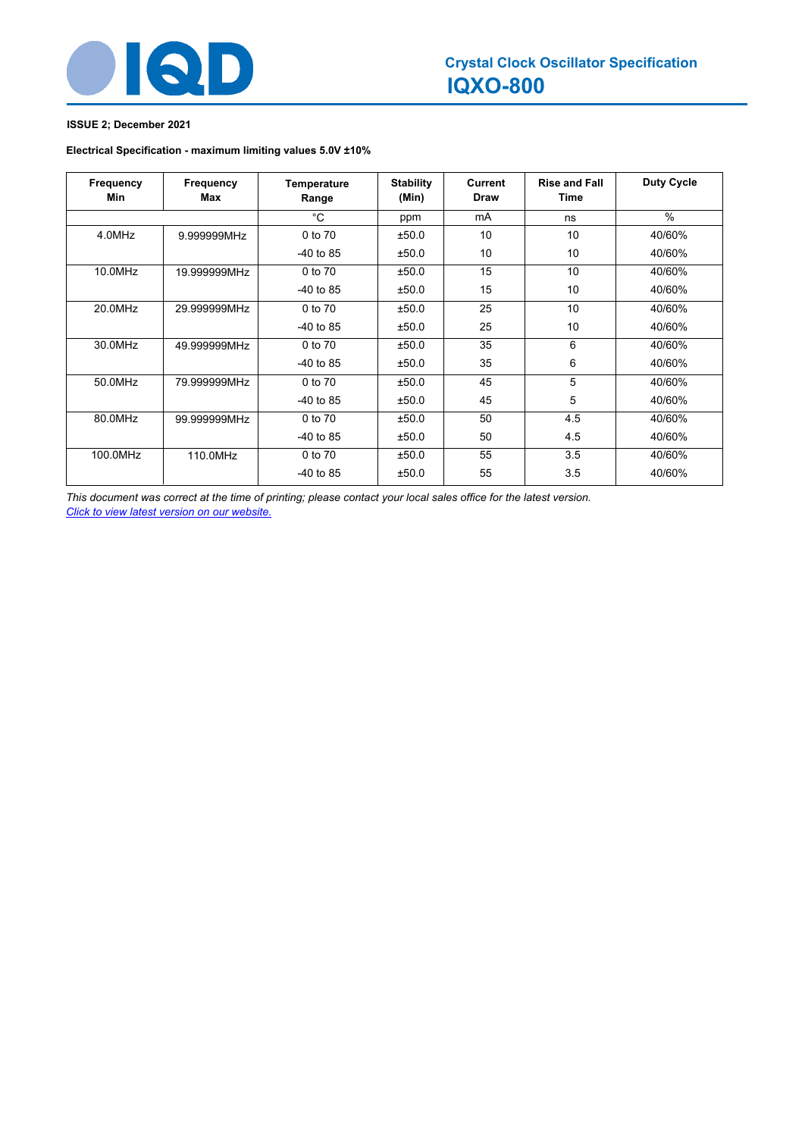

### **ISSUE 2; December 2021**

### **Electrical Specification - maximum limiting values 5.0V ±10%**

| Frequency<br>Min | Frequency<br>Max | Temperature<br>Range | <b>Stability</b><br>(Min) | <b>Current</b><br><b>Draw</b> | <b>Rise and Fall</b><br>Time | <b>Duty Cycle</b> |
|------------------|------------------|----------------------|---------------------------|-------------------------------|------------------------------|-------------------|
|                  |                  | $^{\circ}$ C         | ppm                       | mA                            | ns                           | $\%$              |
| 4.0MHz           | 9.999999MHz      | 0 to 70              | ±50.0                     | 10                            | 10                           | 40/60%            |
|                  |                  | $-40$ to 85          | ±50.0                     | 10                            | 10                           | 40/60%            |
| 10.0MHz          | 19.999999MHz     | 0 to 70              | ±50.0                     | 15                            | 10                           | 40/60%            |
|                  |                  | $-40$ to 85          | ±50.0                     | 15                            | 10                           | 40/60%            |
| 20.0MHz          | 29.999999MHz     | 0 to 70              | ±50.0                     | 25                            | 10                           | 40/60%            |
|                  |                  | $-40$ to 85          | ±50.0                     | 25                            | 10                           | 40/60%            |
| 30.0MHz          | 49.999999MHz     | 0 to 70              | ±50.0                     | 35                            | 6                            | 40/60%            |
|                  |                  | $-40$ to 85          | ±50.0                     | 35                            | 6                            | 40/60%            |
| 50.0MHz          | 79.999999MHz     | 0 to 70              | ±50.0                     | 45                            | 5                            | 40/60%            |
|                  |                  | $-40$ to 85          | ±50.0                     | 45                            | 5                            | 40/60%            |
| 80.0MHz          | 99.999999MHz     | 0 to 70              | ±50.0                     | 50                            | 4.5                          | 40/60%            |
|                  |                  | $-40$ to 85          | ±50.0                     | 50                            | 4.5                          | 40/60%            |
| 100.0MHz         | 110.0MHz         | 0 to 70              | ±50.0                     | 55                            | 3.5                          | 40/60%            |
|                  |                  | $-40$ to 85          | ±50.0                     | 55                            | 3.5                          | 40/60%            |

*This document was correct at the time of printing; please contact your local sales office for the latest version. Click to view latest version on our website.*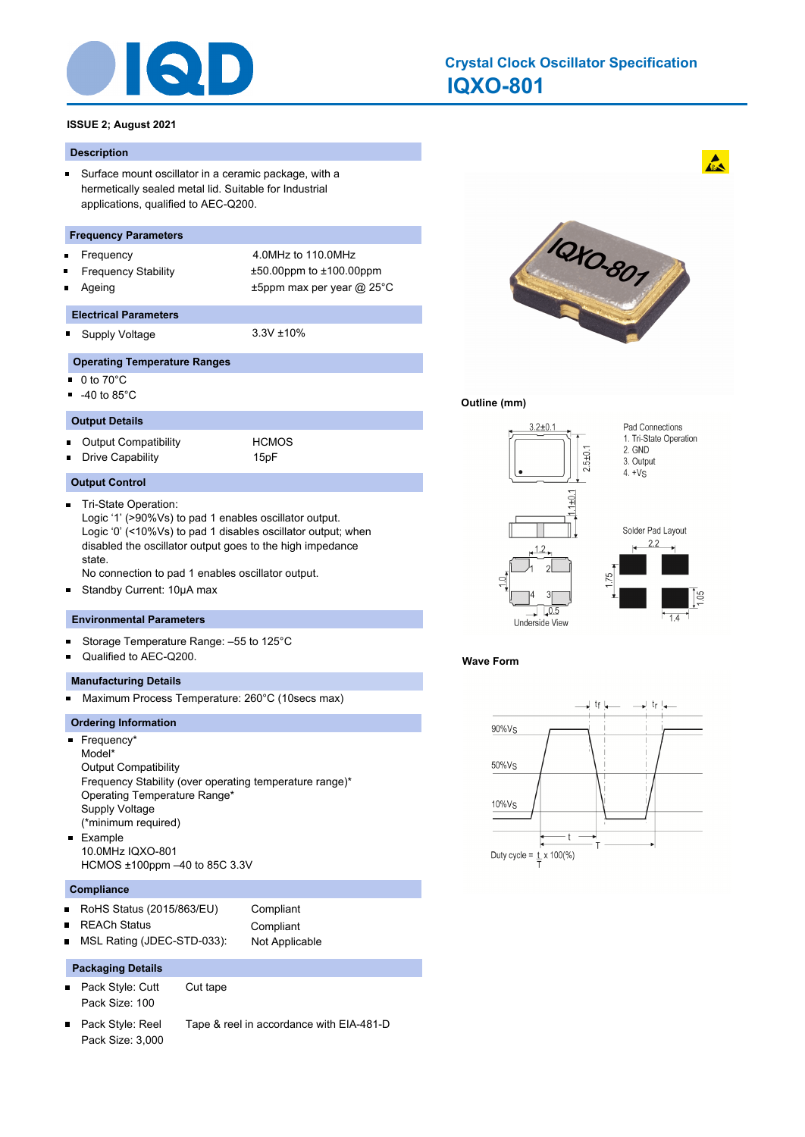

# **IQXO-801 Crystal Clock Oscillator Specification**

#### **ISSUE 2; August 2021**

#### **Description**

 $\blacksquare$ Surface mount oscillator in a ceramic package, with a hermetically sealed metal lid. Suitable for Industrial applications, qualified to AEC-Q200.

#### **Frequency Parameters**

- Frequency 4.0MHz to 110.0MHz
- Frequency Stability ±50.00ppm to ±100.00ppm
- Ageing t5ppm max per year @ 25°C

# **Electrical Parameters**

o. Supply Voltage 3.3V ±10%

#### **Operating Temperature Ranges**

- $\blacksquare$ 0 to 70°C
- -40 to 85°C
- **Output Details**

Output Compatibility **HCMOS**  $\blacksquare$ Drive Capability 15pF

#### **Output Control**

 $\blacksquare$ Tri-State Operation: Logic '1' (>90%Vs) to pad 1 enables oscillator output. Logic '0' (<10%Vs) to pad 1 disables oscillator output; when disabled the oscillator output goes to the high impedance state.

No connection to pad 1 enables oscillator output.

Standby Current: 10μA max  $\blacksquare$ 

#### **Environmental Parameters**

- Storage Temperature Range: –55 to 125°C Ξ
- Qualified to AEC-Q200.

#### **Manufacturing Details**

Maximum Process Temperature: 260°C (10secs max)  $\blacksquare$ 

#### **Ordering Information**

■ Frequency\* Model\* Output Compatibility Frequency Stability (over operating temperature range)\* Operating Temperature Range\* Supply Voltage (\*minimum required) Example  $\blacksquare$ 10.0MHz IQXO-801 HCMOS ±100ppm –40 to 85C 3.3V

#### **Compliance**

 $\blacksquare$ 

- RoHS Status (2015/863/EU) Compliant  $\blacksquare$ 
	- REACh Status **Compliant**
- MSL Rating (JDEC-STD-033): Not Applicable  $\blacksquare$

### **Packaging Details**

- $\blacksquare$ Pack Style: Cutt Cut tape Pack Size: 100
- Pack Style: Reel Tape & reel in accordance with EIA-481-D  $\blacksquare$ Pack Size: 3,000



#### **Outline (mm)**



#### **Wave Form**